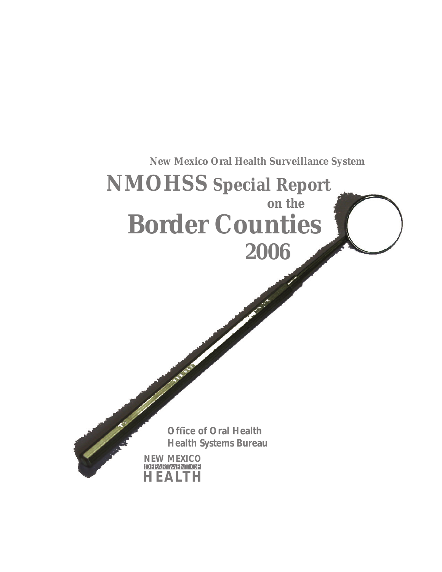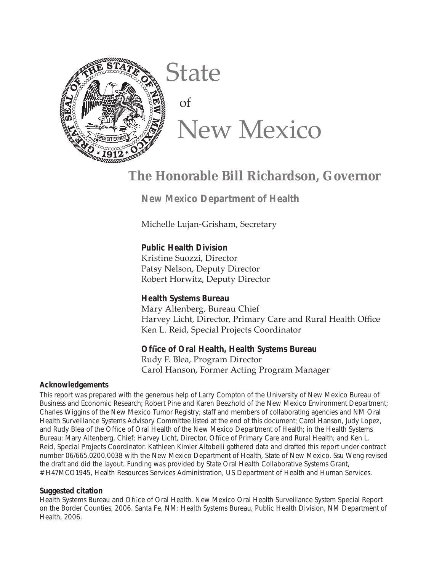

# State of New Mexico

# **The Honorable Bill Richardson, Governor**

 **New Mexico Department of Health**

Michelle Lujan-Grisham, Secretary

**Public Health Division** Kristine Suozzi, Director Patsy Nelson, Deputy Director Robert Horwitz, Deputy Director

**Health Systems Bureau** Mary Altenberg, Bureau Chief Harvey Licht, Director, Primary Care and Rural Health Office

## **Offi ce of Oral Health, Health Systems Bureau**

Ken L. Reid, Special Projects Coordinator

Rudy F. Blea, Program Director Carol Hanson, Former Acting Program Manager

#### **Acknowledgements**

This report was prepared with the generous help of Larry Compton of the University of New Mexico Bureau of Business and Economic Research; Robert Pine and Karen Beezhold of the New Mexico Environment Department; Charles Wiggins of the New Mexico Tumor Registry; staff and members of collaborating agencies and NM Oral Health Surveillance Systems Advisory Committee listed at the end of this document; Carol Hanson, Judy Lopez, and Rudy Blea of the Office of Oral Health of the New Mexico Department of Health; in the Health Systems Bureau: Mary Altenberg, Chief; Harvey Licht, Director, Office of Primary Care and Rural Health; and Ken L. Reid, Special Projects Coordinator. Kathleen Kimler Altobelli gathered data and drafted this report under contract number 06/665.0200.0038 with the New Mexico Department of Health, State of New Mexico. Ssu Weng revised the draft and did the layout. Funding was provided by State Oral Health Collaborative Systems Grant, # H47MCO1945, Health Resources Services Administration, US Department of Health and Human Services.

#### **Suggested citation**

Health Systems Bureau and Office of Oral Health. New Mexico Oral Health Surveillance System Special Report on the Border Counties, 2006. Santa Fe, NM: Health Systems Bureau, Public Health Division, NM Department of Health, 2006.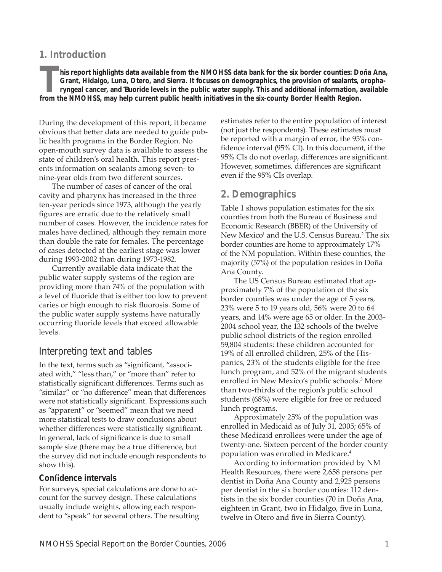## **1. Introduction**

**This report highlights data available from the NMOHSS data bank for the six border counties: Doña Ana, Grant, Hidalgo, Luna, Otero, and Sierra. It focuses on demographics, the provision of sealants, oropharyngeal cancer, and fl uoride levels in the public water supply. This and additional information, available from the NMOHSS, may help current public health initiatives in the six-county Border Health Region.**

During the development of this report, it became obvious that better data are needed to guide public health programs in the Border Region. No open-mouth survey data is available to assess the state of children's oral health. This report presents information on sealants among seven- to nine-year olds from two different sources.

The number of cases of cancer of the oral cavity and pharynx has increased in the three ten-year periods since 1973, although the yearly figures are erratic due to the relatively small number of cases. However, the incidence rates for males have declined, although they remain more than double the rate for females. The percentage of cases detected at the earliest stage was lower during 1993-2002 than during 1973-1982.

Currently available data indicate that the public water supply systems of the region are providing more than 74% of the population with a level of fluoride that is either too low to prevent caries or high enough to risk fluorosis. Some of the public water supply systems have naturally occurring fluoride levels that exceed allowable levels.

## Interpreting text and tables

In the text, terms such as "significant, "associated with," "less than," or "more than" refer to statistically significant differences. Terms such as "similar" or "no difference" mean that differences were not statistically significant. Expressions such as "apparent" or "seemed" mean that we need more statistical tests to draw conclusions about whether differences were statistically significant. In general, lack of significance is due to small sample size (there may be a true difference, but the survey did not include enough respondents to show this).

## **Confi dence intervals**

For surveys, special calculations are done to account for the survey design. These calculations usually include weights, allowing each respondent to "speak" for several others. The resulting estimates refer to the entire population of interest (not just the respondents). These estimates must be reported with a margin of error, the 95% confidence interval (95% CI). In this document, if the 95% CIs do not overlap, differences are significant. However, sometimes, differences are significant even if the 95% CIs overlap.

## **2. Demographics**

Table 1 shows population estimates for the six counties from both the Bureau of Business and Economic Research (BBER) of the University of New Mexico<sup>1</sup> and the U.S. Census Bureau.<sup>2</sup> The six border counties are home to approximately 17% of the NM population. Within these counties, the majority (57%) of the population resides in Doña Ana County.

The US Census Bureau estimated that approximately 7% of the population of the six border counties was under the age of 5 years, 23% were 5 to 19 years old, 56% were 20 to 64 years, and 14% were age 65 or older. In the 2003- 2004 school year, the 132 schools of the twelve public school districts of the region enrolled 59,804 students: these children accounted for 19% of all enrolled children, 25% of the Hispanics, 23% of the students eligible for the free lunch program, and 52% of the migrant students enrolled in New Mexico's public schools.3 More than two-thirds of the region's public school students (68%) were eligible for free or reduced lunch programs.

Approximately 25% of the population was enrolled in Medicaid as of July 31, 2005; 65% of these Medicaid enrollees were under the age of twenty-one. Sixteen percent of the border county population was enrolled in Medicare.4

According to information provided by NM Health Resources, there were 2,658 persons per dentist in Doña Ana County and 2,925 persons per dentist in the six border counties: 112 dentists in the six border counties (70 in Doña Ana, eighteen in Grant, two in Hidalgo, five in Luna, twelve in Otero and five in Sierra County).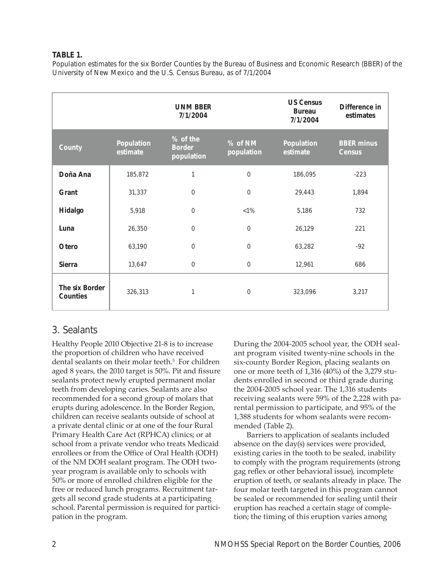#### **TABLE 1.**

Population estimates for the six Border Counties by the Bureau of Business and Economic Research (BBER) of the University of New Mexico and the U.S. Census Bureau, as of 7/1/2004

|                            |                        | <b>UNM BBER</b><br>7/1/2004             |                       | <b>US Census</b><br><b>Bureau</b><br>7/1/2004 | Difference in<br>estimates         |
|----------------------------|------------------------|-----------------------------------------|-----------------------|-----------------------------------------------|------------------------------------|
| County                     | Population<br>estimate | % of the<br><b>Border</b><br>population | % of NM<br>population | Population<br>estimate                        | <b>BBER</b> minus<br><b>Census</b> |
| Doña Ana                   | 185,872                | 1                                       | $\mathbf 0$           | 186,095                                       | $-223$                             |
| Grant                      | 31,337                 | $\mathbf 0$                             | $\mathbf{0}$          | 29,443                                        | 1,894                              |
| Hidalgo                    | 5,918                  | $\mathbf 0$                             | $< 1\%$               | 5,186                                         | 732                                |
| Luna                       | 26,350                 | $\mathbf 0$                             | $\mathbf{0}$          | 26,129                                        | 221                                |
| Otero                      | 63,190                 | $\mathbf 0$                             | $\mathbf 0$           | 63,282                                        | $-92$                              |
| <b>Sierra</b>              | 13,647                 | $\overline{0}$                          | $\mathbf{0}$          | 12,961                                        | 686                                |
| The six Border<br>Counties | 326,313                | 1                                       | $\mathbf{0}$          | 323,096                                       | 3,217                              |

## 3. Sealants

Healthy People 2010 Objective 21-8 is to increase the proportion of children who have received dental sealants on their molar teeth.<sup>5</sup> For children aged 8 years, the 2010 target is 50%. Pit and fissure sealants protect newly erupted permanent molar teeth from developing caries. Sealants are also recommended for a second group of molars that erupts during adolescence. In the Border Region, children can receive sealants outside of school at a private dental clinic or at one of the four Rural Primary Health Care Act (RPHCA) clinics; or at school from a private vendor who treats Medicaid enrollees or from the Office of Oral Health (ODH) of the NM DOH sealant program. The ODH twoyear program is available only to schools with 50% or more of enrolled children eligible for the free or reduced lunch programs. Recruitment targets all second grade students at a participating school. Parental permission is required for participation in the program.

During the 2004-2005 school year, the ODH sealant program visited twenty-nine schools in the six-county Border Region, placing sealants on one or more teeth of 1,316 (40%) of the 3,279 students enrolled in second or third grade during the 2004-2005 school year. The 1,316 students receiving sealants were 59% of the 2,228 with parental permission to participate, and 95% of the 1,388 students for whom sealants were recommended (Table 2).

Barriers to application of sealants included absence on the day(s) services were provided, existing caries in the tooth to be sealed, inability to comply with the program requirements (strong gag reflex or other behavioral issue), incomplete eruption of teeth, or sealants already in place. The four molar teeth targeted in this program cannot be sealed or recommended for sealing until their eruption has reached a certain stage of completion; the timing of this eruption varies among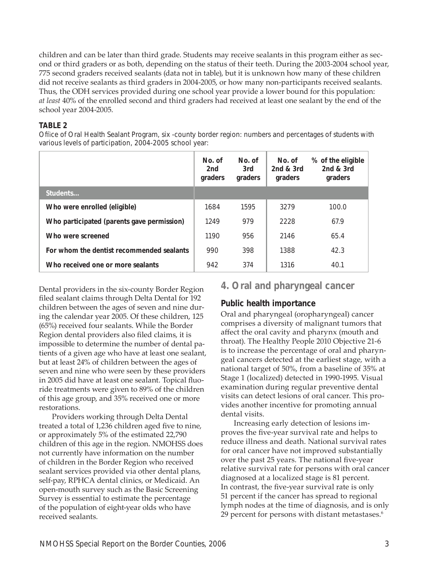children and can be later than third grade. Students may receive sealants in this program either as second or third graders or as both, depending on the status of their teeth. During the 2003-2004 school year, 775 second graders received sealants (data not in table), but it is unknown how many of these children did not receive sealants as third graders in 2004-2005, or how many non-participants received sealants. Thus, the ODH services provided during one school year provide a lower bound for this population: *at least* 40% of the enrolled second and third graders had received at least one sealant by the end of the school year 2004-2005.

#### **TABLE 2**

Office of Oral Health Sealant Program, six -county border region: numbers and percentages of students with various levels of participation, 2004-2005 school year:

|                                            | No. of<br>2nd<br>graders | No. of<br>3rd<br>graders | No. of<br>2 $nd & 3rd$<br>graders | % of the eligible<br>2nd $&$ 3rd<br>graders |
|--------------------------------------------|--------------------------|--------------------------|-----------------------------------|---------------------------------------------|
| Students                                   |                          |                          |                                   |                                             |
| Who were enrolled (eligible)               | 1684                     | 1595                     | 3279                              | 100.0                                       |
| Who participated (parents gave permission) | 1249                     | 979                      | 2228                              | 67.9                                        |
| Who were screened                          | 1190                     | 956                      | 2146                              | 65.4                                        |
| For whom the dentist recommended sealants  | 990                      | 398                      | 1388                              | 42.3                                        |
| Who received one or more sealants          | 942                      | 374                      | 1316                              | 40.1                                        |

Dental providers in the six-county Border Region filed sealant claims through Delta Dental for 192 children between the ages of seven and nine during the calendar year 2005. Of these children, 125 (65%) received four sealants. While the Border Region dental providers also filed claims, it is impossible to determine the number of dental patients of a given age who have at least one sealant, but at least 24% of children between the ages of seven and nine who were seen by these providers in 2005 did have at least one sealant. Topical fluoride treatments were given to 89% of the children of this age group, and 35% received one or more restorations.

Providers working through Delta Dental treated a total of 1,236 children aged five to nine, or approximately 5% of the estimated 22,790 children of this age in the region. NMOHSS does not currently have information on the number of children in the Border Region who received sealant services provided via other dental plans, self-pay, RPHCA dental clinics, or Medicaid. An open-mouth survey such as the Basic Screening Survey is essential to estimate the percentage of the population of eight-year olds who have received sealants.

**4. Oral and pharyngeal cancer**

## **Public health importance**

Oral and pharyngeal (oropharyngeal) cancer comprises a diversity of malignant tumors that affect the oral cavity and pharynx (mouth and throat). The Healthy People 2010 Objective 21-6 is to increase the percentage of oral and pharyngeal cancers detected at the earliest stage, with a national target of 50%, from a baseline of 35% at Stage 1 (localized) detected in 1990-1995. Visual examination during regular preventive dental visits can detect lesions of oral cancer. This provides another incentive for promoting annual dental visits.

Increasing early detection of lesions improves the five-year survival rate and helps to reduce illness and death. National survival rates for oral cancer have not improved substantially over the past 25 years. The national five-year relative survival rate for persons with oral cancer diagnosed at a localized stage is 81 percent. In contrast, the five-year survival rate is only 51 percent if the cancer has spread to regional lymph nodes at the time of diagnosis, and is only 29 percent for persons with distant metastases.<sup>6</sup>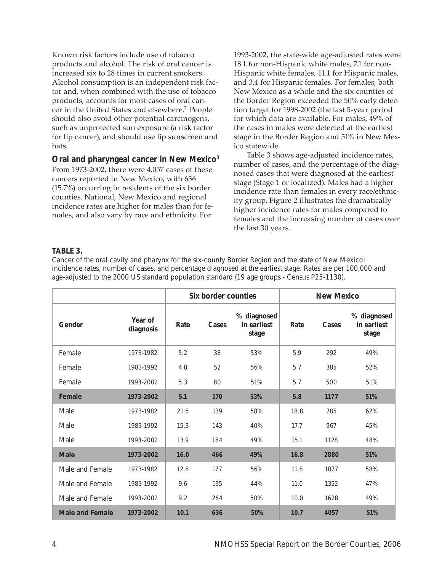Known risk factors include use of tobacco products and alcohol. The risk of oral cancer is increased six to 28 times in current smokers. Alcohol consumption is an independent risk factor and, when combined with the use of tobacco products, accounts for most cases of oral cancer in the United States and elsewhere.7 People should also avoid other potential carcinogens, such as unprotected sun exposure (a risk factor for lip cancer), and should use lip sunscreen and hats.

#### **Oral and pharyngeal cancer in New Mexico**<sup>8</sup>

From 1973-2002, there were 4,057 cases of these cancers reported in New Mexico, with 636 (15.7%) occurring in residents of the six border counties. National, New Mexico and regional incidence rates are higher for males than for females, and also vary by race and ethnicity. For

1993-2002, the state-wide age-adjusted rates were 18.1 for non-Hispanic white males, 7.1 for non-Hispanic white females, 11.1 for Hispanic males, and 3.4 for Hispanic females. For females, both New Mexico as a whole and the six counties of the Border Region exceeded the 50% early detection target for 1998-2002 (the last 5-year period for which data are available. For males, 49% of the cases in males were detected at the earliest stage in the Border Region and 51% in New Mexico statewide.

Table 3 shows age-adjusted incidence rates, number of cases, and the percentage of the diagnosed cases that were diagnosed at the earliest stage (Stage 1 or localized). Males had a higher incidence rate than females in every race/ethnicity group. Figure 2 illustrates the dramatically higher incidence rates for males compared to females and the increasing number of cases over the last 30 years.

#### **TABLE 3.**

Cancer of the oral cavity and pharynx for the six-county Border Region and the state of New Mexico: incidence rates, number of cases, and percentage diagnosed at the earliest stage. Rates are per 100,000 and age-adjusted to the 2000 US standard population standard (19 age groups - Census P25-1130).

|                                     |                      | Six border counties |       | <b>New Mexico</b>                   |      |       |                                     |
|-------------------------------------|----------------------|---------------------|-------|-------------------------------------|------|-------|-------------------------------------|
| Gender                              | Year of<br>diagnosis | Rate                | Cases | % diagnosed<br>in earliest<br>stage | Rate | Cases | % diagnosed<br>in earliest<br>stage |
| Female                              | 1973-1982            | 5.2                 | 38    | 53%                                 | 5.9  | 292   | 49%                                 |
| Female                              | 1983-1992            | 4.8                 | 52    | 56%                                 | 5.7  | 385   | 52%                                 |
| Female                              | 1993-2002            | 5.3                 | 80    | 51%                                 | 5.7  | 500   | 51%                                 |
| Female                              | 1973-2002            | 5.1                 | 170   | 53%                                 | 5.8  | 1177  | 51%                                 |
| Male                                | 1973-1982            | 21.5                | 139   | 58%                                 | 18.8 | 785   | 62%                                 |
| Male                                | 1983-1992            | 15.3                | 143   | 40%                                 | 17.7 | 967   | 45%                                 |
| Male                                | 1993-2002            | 13.9                | 184   | 49%                                 | 15.1 | 1128  | 48%                                 |
| <b>Male</b>                         | 1973-2002            | 16.0                | 466   | 49%                                 | 16.8 | 2880  | 51%                                 |
| Male and Female                     | 1973-1982            | 12.8                | 177   | 56%                                 | 11.8 | 1077  | 58%                                 |
| Male and Female                     | 1983-1992            | 9.6                 | 195   | 44%                                 | 11.0 | 1352  | 47%                                 |
| Male and Female                     | 1993-2002            | 9.2                 | 264   | 50%                                 | 10.0 | 1628  | 49%                                 |
| <b>Male and Female</b><br>1973-2002 |                      | 10.1                | 636   | 50%                                 | 10.7 | 4057  | 51%                                 |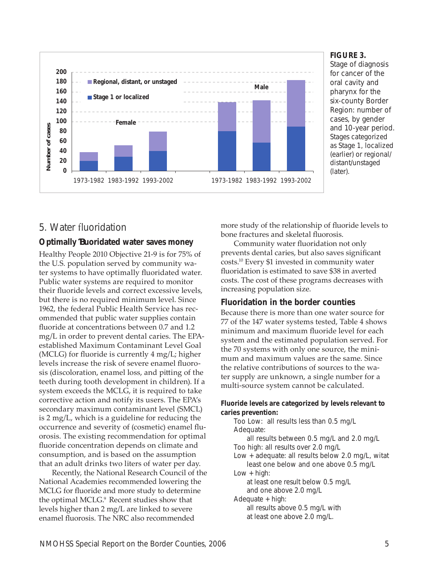

#### **FIGURE 3.**

Stage of diagnosis for cancer of the oral cavity and pharynx for the six-county Border Region: number of cases, by gender and 10-year period. Stages categorized as Stage 1, localized (earlier) or regional/ distant/unstaged (later).

## 5. Water fluoridation

## **Optimally fl uoridated water saves money**

Healthy People 2010 Objective 21-9 is for 75% of the U.S. population served by community water systems to have optimally fluoridated water. Public water systems are required to monitor their fluoride levels and correct excessive levels, but there is no required minimum level. Since 1962, the federal Public Health Service has recommended that public water supplies contain fluoride at concentrations between 0.7 and 1.2 mg/L in order to prevent dental caries. The EPAestablished Maximum Contaminant Level Goal (MCLG) for fluoride is currently  $4 \text{ mg/L}$ ; higher levels increase the risk of severe enamel fluorosis (discoloration, enamel loss, and pitting of the teeth during tooth development in children). If a system exceeds the MCLG, it is required to take corrective action and notify its users. The EPA's secondary maximum contaminant level (SMCL) is 2 mg/L, which is a guideline for reducing the occurrence and severity of (cosmetic) enamel fluorosis. The existing recommendation for optimal fluoride concentration depends on climate and consumption, and is based on the assumption that an adult drinks two liters of water per day.

Recently, the National Research Council of the National Academies recommended lowering the MCLG for fluoride and more study to determine the optimal MCLG.<sup>9</sup> Recent studies show that levels higher than 2 mg/L are linked to severe enamel fluorosis. The NRC also recommended

more study of the relationship of fluoride levels to bone fractures and skeletal fluorosis.

Community water fluoridation not only prevents dental caries, but also saves significant costs.10 Every \$1 invested in community water fluoridation is estimated to save \$38 in averted costs. The cost of these programs decreases with increasing population size.

## **Fluoridation in the border counties**

Because there is more than one water source for 77 of the 147 water systems tested, Table 4 shows minimum and maximum fluoride level for each system and the estimated population served. For the 70 systems with only one source, the minimum and maximum values are the same. Since the relative contributions of sources to the water supply are unknown, a single number for a multi-source system cannot be calculated.

#### *Fluoride levels are categorized by levels relevant to caries prevention:*

Too Low: all results less than 0.5 mg/L Adequate: all results between 0.5 mg/L and 2.0 mg/L Too high: all results over 2.0 mg/L Low + adequate: all results below 2.0 mg/L, witat least one below and one above 0.5 mg/L Low + high: at least one result below 0.5 mg/L and one above 2.0 mg/L Adequate + high: all results above 0.5 mg/L with at least one above 2.0 mg/L.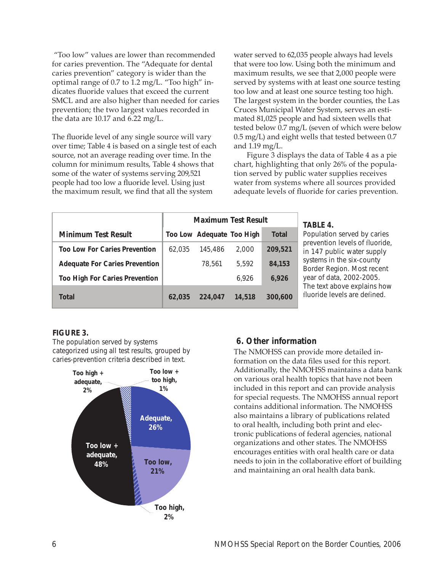"Too low" values are lower than recommended for caries prevention. The "Adequate for dental caries prevention" category is wider than the optimal range of 0.7 to 1.2 mg/L. "Too high" indicates fluoride values that exceed the current SMCL and are also higher than needed for caries prevention; the two largest values recorded in the data are 10.17 and 6.22 mg/L.

The fluoride level of any single source will vary over time; Table 4 is based on a single test of each source, not an average reading over time. In the column for minimum results, Table 4 shows that some of the water of systems serving 209,521 people had too low a fluoride level. Using just the maximum result, we find that all the system

water served to 62,035 people always had levels that were too low. Using both the minimum and maximum results, we see that 2,000 people were served by systems with at least one source testing too low and at least one source testing too high. The largest system in the border counties, the Las Cruces Municipal Water System, serves an estimated 81,025 people and had sixteen wells that tested below 0.7 mg/L (seven of which were below 0.5 mg/L) and eight wells that tested between 0.7 and 1.19 mg/L.

Figure 3 displays the data of Table 4 as a pie chart, highlighting that only 26% of the population served by public water supplies receives water from systems where all sources provided adequate levels of fluoride for caries prevention.

|                                       | <b>Maximum Test Result</b> |                           |        |         |
|---------------------------------------|----------------------------|---------------------------|--------|---------|
| Minimum Test Result                   |                            | Too Low Adequate Too High |        | Total   |
| <b>Too Low For Caries Prevention</b>  | 62,035                     | 145,486                   | 2,000  | 209,521 |
| <b>Adequate For Caries Prevention</b> |                            | 78,561                    | 5.592  | 84,153  |
| <b>Too High For Caries Prevention</b> |                            |                           | 6.926  | 6,926   |
| Total                                 | 62,035                     | 224,047                   | 14,518 | 300,600 |

#### **TABLE 4.**

Population served by caries prevention levels of fluoride, in 147 public water supply systems in the six-county Border Region. Most recent year of data, 2002-2005. The text above explains how fluoride levels are defined.

## **FIGURE 3.**

The population served by systems categorized using all test results, grouped by caries-prevention criteria described in text.



## **6. Other information**

The NMOHSS can provide more detailed information on the data files used for this report. Additionally, the NMOHSS maintains a data bank on various oral health topics that have not been included in this report and can provide analysis for special requests. The NMOHSS annual report contains additional information. The NMOHSS also maintains a library of publications related to oral health, including both print and electronic publications of federal agencies, national organizations and other states. The NMOHSS encourages entities with oral health care or data needs to join in the collaborative effort of building and maintaining an oral health data bank.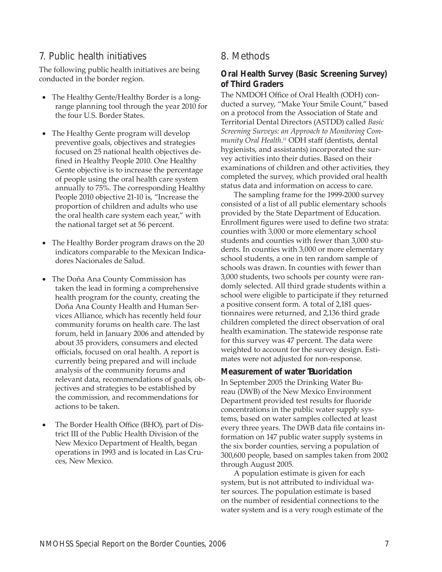## 7. Public health initiatives

The following public health initiatives are being conducted in the border region.

- The Healthy Gente/Healthy Border is a longrange planning tool through the year 2010 for the four U.S. Border States.
- The Healthy Gente program will develop preventive goals, objectives and strategies focused on 25 national health objectives defined in Healthy People 2010. One Healthy Gente objective is to increase the percentage of people using the oral health care system annually to 75%. The corresponding Healthy People 2010 objective 21-10 is, "Increase the proportion of children and adults who use the oral health care system each year," with the national target set at 56 percent.
- The Healthy Border program draws on the 20 indicators comparable to the Mexican Indicadores Nacionales de Salud.
- The Doña Ana County Commission has taken the lead in forming a comprehensive health program for the county, creating the Doña Ana County Health and Human Services Alliance, which has recently held four community forums on health care. The last forum, held in January 2006 and attended by about 35 providers, consumers and elected officials, focused on oral health. A report is currently being prepared and will include analysis of the community forums and relevant data, recommendations of goals, objectives and strategies to be established by the commission, and recommendations for actions to be taken.
- The Border Health Office (BHO), part of District III of the Public Health Division of the New Mexico Department of Health, began operations in 1993 and is located in Las Cruces, New Mexico.

## 8. Methods

#### **Oral Health Survey (Basic Screening Survey) of Third Graders**

The NMDOH Office of Oral Health (ODH) conducted a survey, "Make Your Smile Count," based on a protocol from the Association of State and Territorial Dental Directors (ASTDD) called *Basic Screening Surveys: an Approach to Monitoring Community Oral Health*. 11 ODH staff (dentists, dental hygienists, and assistants) incorporated the survey activities into their duties. Based on their examinations of children and other activities, they completed the survey, which provided oral health status data and information on access to care.

The sampling frame for the 1999-2000 survey consisted of a list of all public elementary schools provided by the State Department of Education. Enrollment figures were used to define two strata: counties with 3,000 or more elementary school students and counties with fewer than 3,000 students. In counties with 3,000 or more elementary school students, a one in ten random sample of schools was drawn. In counties with fewer than 3,000 students, two schools per county were randomly selected. All third grade students within a school were eligible to participate if they returned a positive consent form. A total of 2,181 questionnaires were returned, and 2,136 third grade children completed the direct observation of oral health examination. The statewide response rate for this survey was 47 percent. The data were weighted to account for the survey design. Estimates were not adjusted for non-response.

#### **Measurement of water fl uoridation**

In September 2005 the Drinking Water Bureau (DWB) of the New Mexico Environment Department provided test results for fluoride concentrations in the public water supply systems, based on water samples collected at least every three years. The DWB data file contains information on 147 public water supply systems in the six border counties, serving a population of 300,600 people, based on samples taken from 2002 through August 2005.

A population estimate is given for each system, but is not attributed to individual water sources. The population estimate is based on the number of residential connections to the water system and is a very rough estimate of the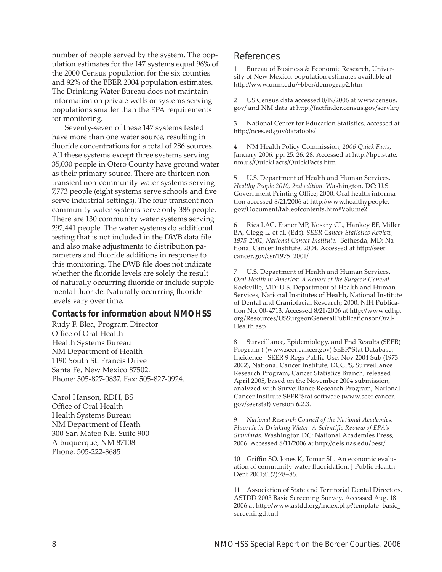number of people served by the system. The population estimates for the 147 systems equal 96% of the 2000 Census population for the six counties and 92% of the BBER 2004 population estimates. The Drinking Water Bureau does not maintain information on private wells or systems serving populations smaller than the EPA requirements for monitoring.

Seventy-seven of these 147 systems tested have more than one water source, resulting in fluoride concentrations for a total of 286 sources. All these systems except three systems serving 35,030 people in Otero County have ground water as their primary source. There are thirteen nontransient non-community water systems serving 7,773 people (eight systems serve schools and five serve industrial settings). The four transient noncommunity water systems serve only 386 people. There are 130 community water systems serving 292,441 people. The water systems do additional testing that is not included in the DWB data file and also make adjustments to distribution parameters and fluoride additions in response to this monitoring. The DWB file does not indicate whether the fluoride levels are solely the result of naturally occurring fluoride or include supplemental fluoride. Naturally occurring fluoride levels vary over time.

#### **Contacts for information about NMOHSS**

Rudy F. Blea, Program Director Office of Oral Health Health Systems Bureau NM Department of Health 1190 South St. Francis Drive Santa Fe, New Mexico 87502. Phone: 505-827-0837, Fax: 505-827-0924.

Carol Hanson, RDH, BS Office of Oral Health Health Systems Bureau NM Department of Heath 300 San Mateo NE, Suite 900 Albuquerque, NM 87108 Phone: 505-222-8685

## References

Bureau of Business & Economic Research, University of New Mexico, population estimates available at htt p://www.unm.edu/~bber/demograp2.htm

2 US Census data accessed 8/19/2006 at www.census. gov/ and NM data at http://factfinder.census.gov/servlet/

3 National Center for Education Statistics, accessed at http://nces.ed.gov/datatools/

4 NM Health Policy Commission, *2006 Quick Facts*, January 2006, pp. 25, 26, 28. Accessed at http://hpc.state. nm.us/QuickFacts/QuickFacts.htm

U.S. Department of Health and Human Services, *Healthy People 2010, 2nd edition.* Washington, DC: U.S. Government Printing Office; 2000. Oral health information accessed 8/21/2006 at http://www.healthypeople. gov/Document/tableofcontents.htm#Volume2

6 Ries LAG, Eisner MP, Kosary CL, Hankey BF, Miller BA, Clegg L, et al. (Eds). *SEER Cancer Statistics Review, 1975-2001, National Cancer Institute*. Bethesda, MD: National Cancer Institute, 2004. Accessed at http://seer. cancer.gov/csr/1975\_2001/

7 U.S. Department of Health and Human Services. *Oral Health in America: A Report of the Surgeon General.* Rockville, MD: U.S. Department of Health and Human Services, National Institutes of Health, National Institute of Dental and Craniofacial Research; 2000. NIH Publication No. 00-4713. Accessed 8/21/2006 at http://www.cdhp. org/Resources/USSurgeonGeneralPublicationsonOral-Health.asp

8 Surveillance, Epidemiology, and End Results (SEER) Program ( (www.seer.cancer.gov) SEER\*Stat Database: Incidence - SEER 9 Regs Public-Use, Nov 2004 Sub (1973- 2002), National Cancer Institute, DCCPS, Surveillance Research Program, Cancer Statistics Branch, released April 2005, based on the November 2004 submission, analyzed with Surveillance Research Program, National Cancer Institute SEER\*Stat software (www.seer.cancer. gov/seerstat) version 6.2.3.

9 *National Research Council of the National Academies.*  Fluoride in Drinking Water: A Scientific Review of EPA's *Standards*. Washington DC: National Academies Press, 2006. Accessed 8/11/2006 at http://dels.nas.edu/best/

10 Griffin SO, Jones K, Tomar SL. An economic evaluation of community water fluoridation. J Public Health Dent 2001;61(2):78–86.

11 Association of State and Territorial Dental Directors. ASTDD 2003 Basic Screening Survey. Accessed Aug. 18 2006 at http://www.astdd.org/index.php?template=basic\_ screening.html